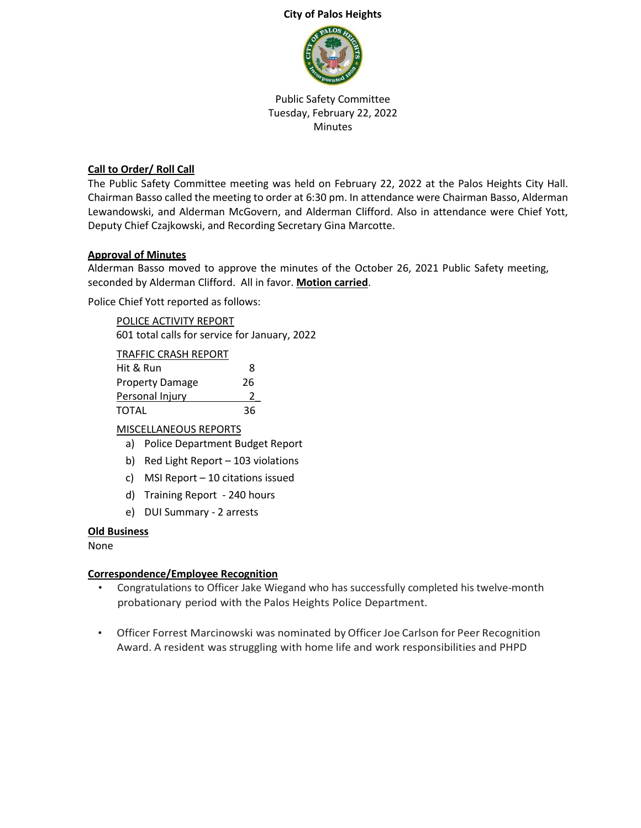#### **City of Palos Heights**



Public Safety Committee Tuesday, February 22, 2022 **Minutes** 

# **Call to Order/ Roll Call**

The Public Safety Committee meeting was held on February 22, 2022 at the Palos Heights City Hall. Chairman Basso called the meeting to order at 6:30 pm. In attendance were Chairman Basso, Alderman Lewandowski, and Alderman McGovern, and Alderman Clifford. Also in attendance were Chief Yott, Deputy Chief Czajkowski, and Recording Secretary Gina Marcotte.

## **Approval of Minutes**

Alderman Basso moved to approve the minutes of the October 26, 2021 Public Safety meeting, seconded by Alderman Clifford. All in favor. **Motion carried**.

Police Chief Yott reported as follows:

POLICE ACTIVITY REPORT 601 total calls for service for January, 2022

TRAFFIC CRASH REPORT

| Hit & Run              | 8  |
|------------------------|----|
| <b>Property Damage</b> | 26 |
| Personal Injury        |    |
| TOTAL                  | 36 |

## MISCELLANEOUS REPORTS

- a) Police Department Budget Report
- b) Red Light Report 103 violations
- c) MSI Report 10 citations issued
- d) Training Report 240 hours
- e) DUI Summary 2 arrests

## **Old Business**

None

## **Correspondence/Employee Recognition**

- Congratulations to Officer Jake Wiegand who has successfully completed his twelve-month probationary period with the Palos Heights Police Department.
- Officer Forrest Marcinowski was nominated by Officer Joe Carlson for Peer Recognition Award. A resident was struggling with home life and work responsibilities and PHPD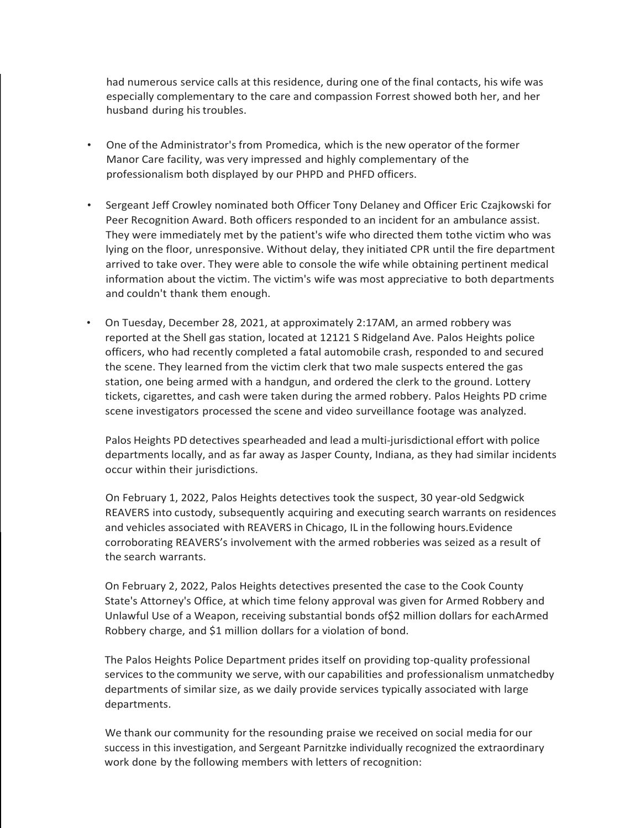had numerous service calls at this residence, during one of the final contacts, his wife was especially complementary to the care and compassion Forrest showed both her, and her husband during his troubles.

- One of the Administrator's from Promedica, which is the new operator of the former Manor Care facility, was very impressed and highly complementary of the professionalism both displayed by our PHPD and PHFD officers.
- Sergeant Jeff Crowley nominated both Officer Tony Delaney and Officer Eric Czajkowski for Peer Recognition Award. Both officers responded to an incident for an ambulance assist. They were immediately met by the patient's wife who directed them tothe victim who was lying on the floor, unresponsive. Without delay, they initiated CPR until the fire department arrived to take over. They were able to console the wife while obtaining pertinent medical information about the victim. The victim's wife was most appreciative to both departments and couldn't thank them enough.
- On Tuesday, December 28, 2021, at approximately 2:17AM, an armed robbery was reported at the Shell gas station, located at 12121 S Ridgeland Ave. Palos Heights police officers, who had recently completed a fatal automobile crash, responded to and secured the scene. They learned from the victim clerk that two male suspects entered the gas station, one being armed with a handgun, and ordered the clerk to the ground. Lottery tickets, cigarettes, and cash were taken during the armed robbery. Palos Heights PD crime scene investigators processed the scene and video surveillance footage was analyzed.

Palos Heights PD detectives spearheaded and lead a multi-jurisdictional effort with police departments locally, and as far away as Jasper County, Indiana, as they had similar incidents occur within their jurisdictions.

On February 1, 2022, Palos Heights detectives took the suspect, 30 year-old Sedgwick REAVERS into custody, subsequently acquiring and executing search warrants on residences and vehicles associated with REAVERS in Chicago, IL in the following hours.Evidence corroborating REAVERS's involvement with the armed robberies was seized as a result of the search warrants.

On February 2, 2022, Palos Heights detectives presented the case to the Cook County State's Attorney's Office, at which time felony approval was given for Armed Robbery and Unlawful Use of a Weapon, receiving substantial bonds of\$2 million dollars for eachArmed Robbery charge, and \$1 million dollars for a violation of bond.

The Palos Heights Police Department prides itself on providing top-quality professional services to the community we serve, with our capabilities and professionalism unmatchedby departments of similar size, as we daily provide services typically associated with large departments.

We thank our community for the resounding praise we received on social media for our success in this investigation, and Sergeant Parnitzke individually recognized the extraordinary work done by the following members with letters of recognition: